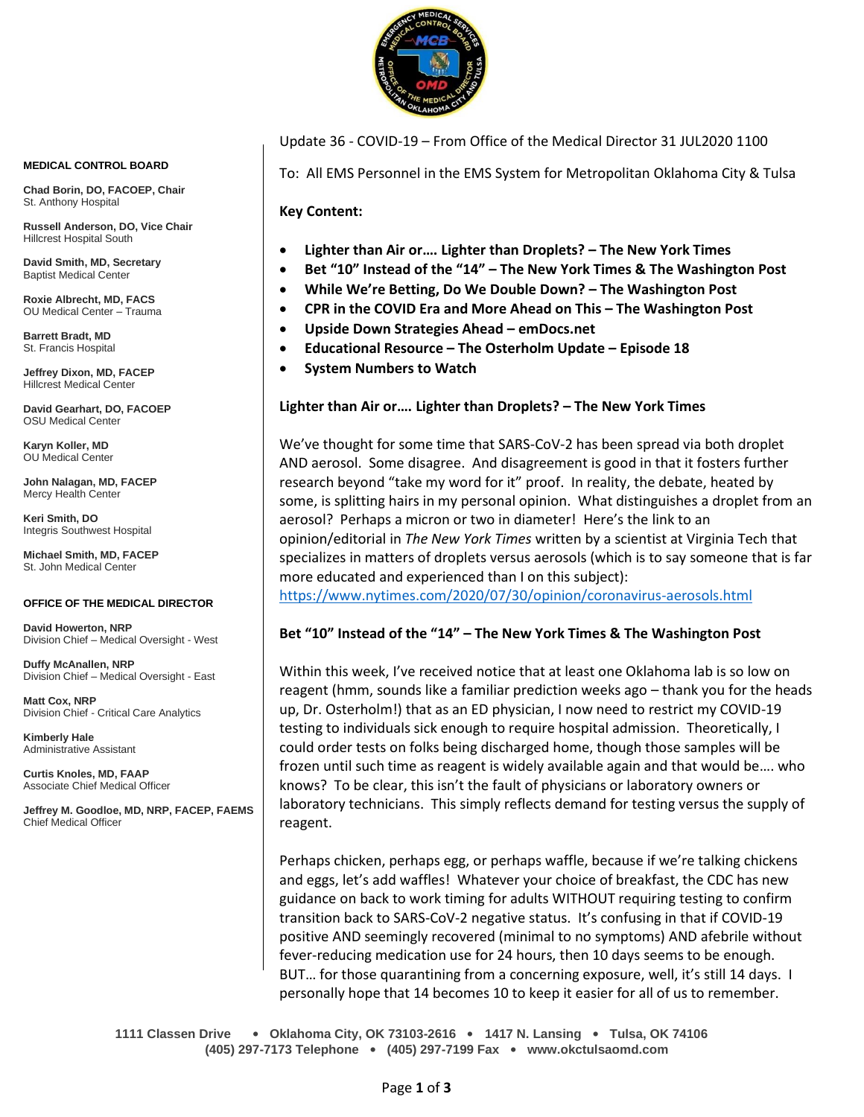

Update 36 - COVID-19 – From Office of the Medical Director 31 JUL2020 1100

To: All EMS Personnel in the EMS System for Metropolitan Oklahoma City & Tulsa

**Key Content:**

- **Lighter than Air or…. Lighter than Droplets? – The New York Times**
- **Bet "10" Instead of the "14" – The New York Times & The Washington Post**
- **While We're Betting, Do We Double Down? – The Washington Post**
- **CPR in the COVID Era and More Ahead on This – The Washington Post**
- **Upside Down Strategies Ahead – emDocs.net**
- **Educational Resource – The Osterholm Update – Episode 18**
- **System Numbers to Watch**

## **Lighter than Air or…. Lighter than Droplets? – The New York Times**

We've thought for some time that SARS-CoV-2 has been spread via both droplet AND aerosol. Some disagree. And disagreement is good in that it fosters further research beyond "take my word for it" proof. In reality, the debate, heated by some, is splitting hairs in my personal opinion. What distinguishes a droplet from an aerosol? Perhaps a micron or two in diameter! Here's the link to an opinion/editorial in *The New York Times* written by a scientist at Virginia Tech that specializes in matters of droplets versus aerosols (which is to say someone that is far more educated and experienced than I on this subject):

<https://www.nytimes.com/2020/07/30/opinion/coronavirus-aerosols.html>

### **Bet "10" Instead of the "14" – The New York Times & The Washington Post**

Within this week, I've received notice that at least one Oklahoma lab is so low on reagent (hmm, sounds like a familiar prediction weeks ago – thank you for the heads up, Dr. Osterholm!) that as an ED physician, I now need to restrict my COVID-19 testing to individuals sick enough to require hospital admission. Theoretically, I could order tests on folks being discharged home, though those samples will be frozen until such time as reagent is widely available again and that would be…. who knows? To be clear, this isn't the fault of physicians or laboratory owners or laboratory technicians. This simply reflects demand for testing versus the supply of reagent.

Perhaps chicken, perhaps egg, or perhaps waffle, because if we're talking chickens and eggs, let's add waffles! Whatever your choice of breakfast, the CDC has new guidance on back to work timing for adults WITHOUT requiring testing to confirm transition back to SARS-CoV-2 negative status. It's confusing in that if COVID-19 positive AND seemingly recovered (minimal to no symptoms) AND afebrile without fever-reducing medication use for 24 hours, then 10 days seems to be enough. BUT… for those quarantining from a concerning exposure, well, it's still 14 days. I personally hope that 14 becomes 10 to keep it easier for all of us to remember.

**1111 Classen Drive** • **Oklahoma City, OK 73103-2616** • **1417 N. Lansing** • **Tulsa, OK 74106 (405) 297-7173 Telephone** • **(405) 297-7199 Fax** • **www.okctulsaomd.com**

#### **MEDICAL CONTROL BOARD**

**Chad Borin, DO, FACOEP, Chair**  St. Anthony Hospital

**Russell Anderson, DO, Vice Chair** Hillcrest Hospital South

**David Smith, MD, Secretary** Baptist Medical Center

**Roxie Albrecht, MD, FACS** OU Medical Center – Trauma

**Barrett Bradt, MD** St. Francis Hospital

**Jeffrey Dixon, MD, FACEP** Hillcrest Medical Center

**David Gearhart, DO, FACOEP** OSU Medical Center

**Karyn Koller, MD** OU Medical Center

**John Nalagan, MD, FACEP** Mercy Health Center

**Keri Smith, DO** Integris Southwest Hospital

**Michael Smith, MD, FACEP** St. John Medical Center

#### **OFFICE OF THE MEDICAL DIRECTOR**

**David Howerton, NRP** Division Chief – Medical Oversight - West

**Duffy McAnallen, NRP** Division Chief – Medical Oversight - East

**Matt Cox, NRP** Division Chief - Critical Care Analytics

**Kimberly Hale** Administrative Assistant

**Curtis Knoles, MD, FAAP** Associate Chief Medical Officer

**Jeffrey M. Goodloe, MD, NRP, FACEP, FAEMS** Chief Medical Officer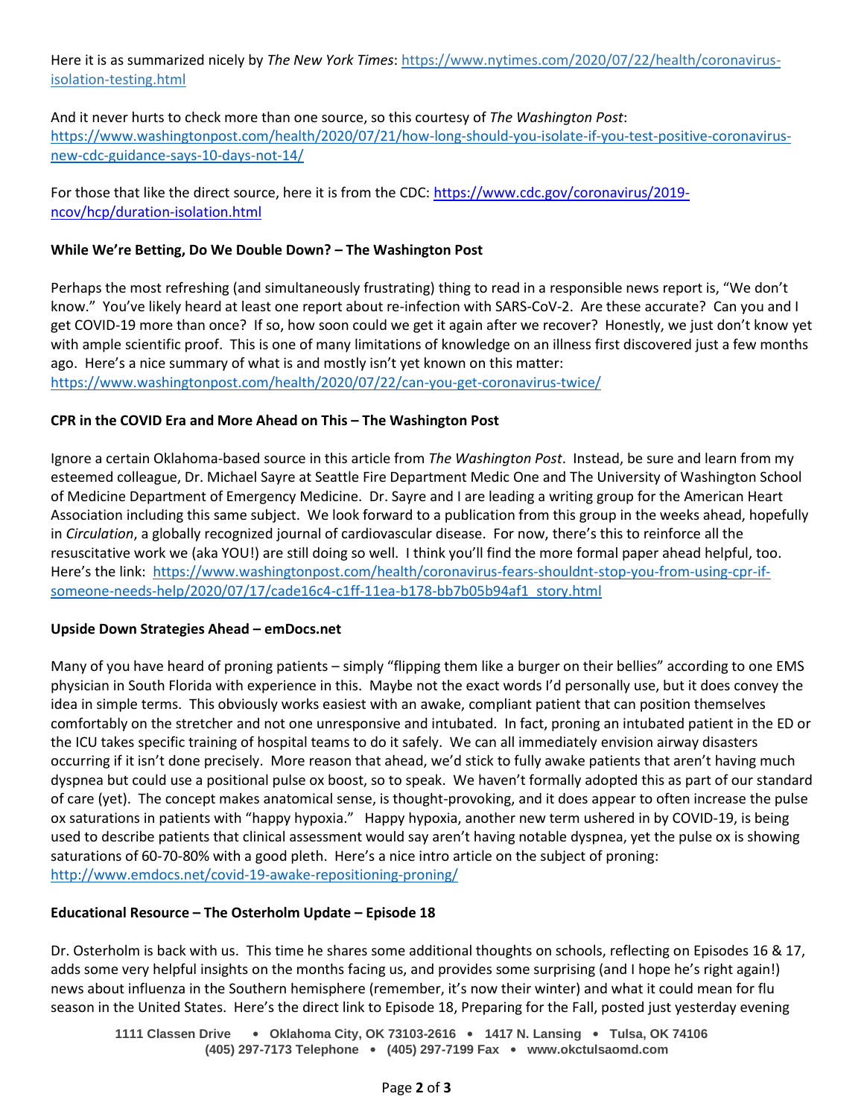Here it is as summarized nicely by *The New York Times*[: https://www.nytimes.com/2020/07/22/health/coronavirus](https://www.nytimes.com/2020/07/22/health/coronavirus-isolation-testing.html)[isolation-testing.html](https://www.nytimes.com/2020/07/22/health/coronavirus-isolation-testing.html)

And it never hurts to check more than one source, so this courtesy of *The Washington Post*: [https://www.washingtonpost.com/health/2020/07/21/how-long-should-you-isolate-if-you-test-positive-coronavirus](https://www.washingtonpost.com/health/2020/07/21/how-long-should-you-isolate-if-you-test-positive-coronavirus-new-cdc-guidance-says-10-days-not-14/)[new-cdc-guidance-says-10-days-not-14/](https://www.washingtonpost.com/health/2020/07/21/how-long-should-you-isolate-if-you-test-positive-coronavirus-new-cdc-guidance-says-10-days-not-14/)

For those that like the direct source, here it is from the CDC: [https://www.cdc.gov/coronavirus/2019](https://www.cdc.gov/coronavirus/2019-ncov/hcp/duration-isolation.html) [ncov/hcp/duration-isolation.html](https://www.cdc.gov/coronavirus/2019-ncov/hcp/duration-isolation.html)

# **While We're Betting, Do We Double Down? – The Washington Post**

Perhaps the most refreshing (and simultaneously frustrating) thing to read in a responsible news report is, "We don't know." You've likely heard at least one report about re-infection with SARS-CoV-2. Are these accurate? Can you and I get COVID-19 more than once? If so, how soon could we get it again after we recover? Honestly, we just don't know yet with ample scientific proof. This is one of many limitations of knowledge on an illness first discovered just a few months ago. Here's a nice summary of what is and mostly isn't yet known on this matter: <https://www.washingtonpost.com/health/2020/07/22/can-you-get-coronavirus-twice/>

# **CPR in the COVID Era and More Ahead on This – The Washington Post**

Ignore a certain Oklahoma-based source in this article from *The Washington Post*. Instead, be sure and learn from my esteemed colleague, Dr. Michael Sayre at Seattle Fire Department Medic One and The University of Washington School of Medicine Department of Emergency Medicine. Dr. Sayre and I are leading a writing group for the American Heart Association including this same subject. We look forward to a publication from this group in the weeks ahead, hopefully in *Circulation*, a globally recognized journal of cardiovascular disease. For now, there's this to reinforce all the resuscitative work we (aka YOU!) are still doing so well. I think you'll find the more formal paper ahead helpful, too. Here's the link: [https://www.washingtonpost.com/health/coronavirus-fears-shouldnt-stop-you-from-using-cpr-if](https://www.washingtonpost.com/health/coronavirus-fears-shouldnt-stop-you-from-using-cpr-if-someone-needs-help/2020/07/17/cade16c4-c1ff-11ea-b178-bb7b05b94af1_story.html)[someone-needs-help/2020/07/17/cade16c4-c1ff-11ea-b178-bb7b05b94af1\\_story.html](https://www.washingtonpost.com/health/coronavirus-fears-shouldnt-stop-you-from-using-cpr-if-someone-needs-help/2020/07/17/cade16c4-c1ff-11ea-b178-bb7b05b94af1_story.html)

### **Upside Down Strategies Ahead – emDocs.net**

Many of you have heard of proning patients – simply "flipping them like a burger on their bellies" according to one EMS physician in South Florida with experience in this. Maybe not the exact words I'd personally use, but it does convey the idea in simple terms. This obviously works easiest with an awake, compliant patient that can position themselves comfortably on the stretcher and not one unresponsive and intubated. In fact, proning an intubated patient in the ED or the ICU takes specific training of hospital teams to do it safely. We can all immediately envision airway disasters occurring if it isn't done precisely. More reason that ahead, we'd stick to fully awake patients that aren't having much dyspnea but could use a positional pulse ox boost, so to speak. We haven't formally adopted this as part of our standard of care (yet). The concept makes anatomical sense, is thought-provoking, and it does appear to often increase the pulse ox saturations in patients with "happy hypoxia." Happy hypoxia, another new term ushered in by COVID-19, is being used to describe patients that clinical assessment would say aren't having notable dyspnea, yet the pulse ox is showing saturations of 60-70-80% with a good pleth. Here's a nice intro article on the subject of proning: <http://www.emdocs.net/covid-19-awake-repositioning-proning/>

### **Educational Resource – The Osterholm Update – Episode 18**

Dr. Osterholm is back with us. This time he shares some additional thoughts on schools, reflecting on Episodes 16 & 17, adds some very helpful insights on the months facing us, and provides some surprising (and I hope he's right again!) news about influenza in the Southern hemisphere (remember, it's now their winter) and what it could mean for flu season in the United States. Here's the direct link to Episode 18, Preparing for the Fall, posted just yesterday evening

**1111 Classen Drive** • **Oklahoma City, OK 73103-2616** • **1417 N. Lansing** • **Tulsa, OK 74106 (405) 297-7173 Telephone** • **(405) 297-7199 Fax** • **www.okctulsaomd.com**